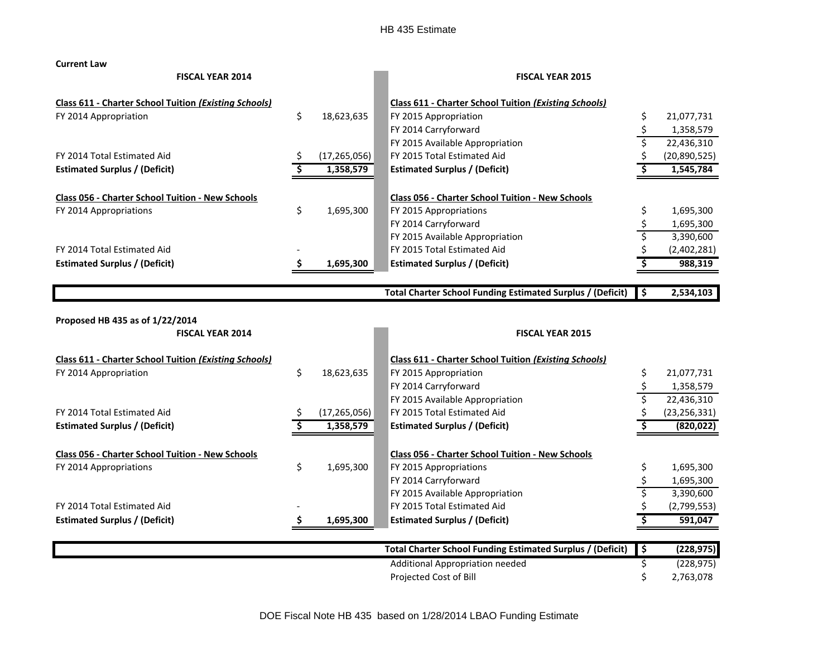**Current Law**

| <b>FISCAL YEAR 2014</b>                                      |     | <b>FISCAL YEAR 2015</b> |                                                                   |                         |                |
|--------------------------------------------------------------|-----|-------------------------|-------------------------------------------------------------------|-------------------------|----------------|
| <b>Class 611 - Charter School Tuition (Existing Schools)</b> |     |                         | <b>Class 611 - Charter School Tuition (Existing Schools)</b>      |                         |                |
| FY 2014 Appropriation                                        | \$  | 18,623,635              | FY 2015 Appropriation                                             | \$                      | 21,077,731     |
|                                                              |     |                         | FY 2014 Carryforward                                              | \$                      | 1,358,579      |
|                                                              |     |                         | FY 2015 Available Appropriation                                   | \$                      | 22,436,310     |
| FY 2014 Total Estimated Aid                                  |     | (17, 265, 056)          | FY 2015 Total Estimated Aid                                       |                         | (20,890,525)   |
| <b>Estimated Surplus / (Deficit)</b>                         |     | 1,358,579               | <b>Estimated Surplus / (Deficit)</b>                              |                         | 1,545,784      |
| Class 056 - Charter School Tuition - New Schools             |     |                         | Class 056 - Charter School Tuition - New Schools                  |                         |                |
| FY 2014 Appropriations                                       | \$  | 1,695,300               | FY 2015 Appropriations                                            | \$                      | 1,695,300      |
|                                                              |     |                         | FY 2014 Carryforward                                              | \$                      | 1,695,300      |
|                                                              |     |                         | FY 2015 Available Appropriation                                   | $\overline{\mathsf{s}}$ | 3,390,600      |
| FY 2014 Total Estimated Aid                                  |     |                         | FY 2015 Total Estimated Aid                                       |                         | (2,402,281)    |
| <b>Estimated Surplus / (Deficit)</b>                         | \$. | 1,695,300               | <b>Estimated Surplus / (Deficit)</b>                              |                         | 988,319        |
|                                                              |     |                         | <b>Total Charter School Funding Estimated Surplus / (Deficit)</b> | \$                      | 2,534,103      |
| Proposed HB 435 as of 1/22/2014                              |     |                         |                                                                   |                         |                |
| <b>FISCAL YEAR 2014</b>                                      |     |                         | <b>FISCAL YEAR 2015</b>                                           |                         |                |
| <b>Class 611 - Charter School Tuition (Existing Schools)</b> |     |                         | <b>Class 611 - Charter School Tuition (Existing Schools)</b>      |                         |                |
| FY 2014 Appropriation                                        | \$  | 18,623,635              | FY 2015 Appropriation                                             | \$                      | 21,077,731     |
|                                                              |     |                         | FY 2014 Carryforward                                              | \$                      | 1,358,579      |
|                                                              |     |                         | FY 2015 Available Appropriation                                   |                         | 22,436,310     |
| FY 2014 Total Estimated Aid                                  |     | (17, 265, 056)          | FY 2015 Total Estimated Aid                                       |                         | (23, 256, 331) |
| <b>Estimated Surplus / (Deficit)</b>                         |     | 1,358,579               | <b>Estimated Surplus / (Deficit)</b>                              |                         | (820, 022)     |
| Class 056 - Charter School Tuition - New Schools             |     |                         | Class 056 - Charter School Tuition - New Schools                  |                         |                |
| FY 2014 Appropriations                                       | \$  | 1,695,300               | FY 2015 Appropriations                                            | \$                      | 1,695,300      |
|                                                              |     |                         | FY 2014 Carryforward                                              | \$                      | 1,695,300      |
|                                                              |     |                         | FY 2015 Available Appropriation                                   | Ś                       | 3,390,600      |
| FY 2014 Total Estimated Aid                                  |     |                         | FY 2015 Total Estimated Aid                                       |                         | (2,799,553)    |
| <b>Estimated Surplus / (Deficit)</b>                         |     | 1,695,300               | <b>Estimated Surplus / (Deficit)</b>                              |                         | 591,047        |
|                                                              |     |                         |                                                                   |                         |                |
|                                                              |     |                         | <b>Total Charter School Funding Estimated Surplus / (Deficit)</b> | `\$                     | (228, 975)     |
|                                                              |     |                         | Additional Appropriation needed                                   | \$                      | (228, 975)     |

Projected Cost of Bill 2,763,078